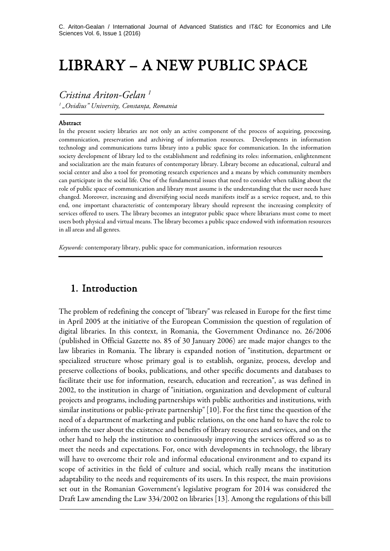# LIBRARY – A NEW PUBLIC SPACE

*Cristina Ariton-Gelan <sup>1</sup>*

*<sup>1</sup> "Ovidius" University, Constanța, Romania*

#### Abstract

j

1

In the present society libraries are not only an active component of the process of acquiring, processing, communication, preservation and archiving of information resources. Developments in information technology and communications turns library into a public space for communication. In the information society development of library led to the establishment and redefining its roles: information, enlightenment and socialization are the main features of contemporary library. Library become an educational, cultural and social center and also a tool for promoting research experiences and a means by which community members can participate in the social life. One of the fundamental issues that need to consider when talking about the role of public space of communication and library must assume is the understanding that the user needs have changed. Moreover, increasing and diversifying social needs manifests itself as a service request, and, to this end, one important characteristic of contemporary library should represent the increasing complexity of services offered to users. The library becomes an integrator public space where librarians must come to meet users both physical and virtual means. The library becomes a public space endowed with information resources in all areas and all genres.

*Keywords:* contemporary library, public space for communication, information resources

#### 1. Introduction

The problem of redefining the concept of "library" was released in Europe for the first time in April 2005 at the initiative of the European Commission the question of regulation of digital libraries. In this context, in Romania, the Government Ordinance no. 26/2006 (published in Official Gazette no. 85 of 30 January 2006) are made major changes to the law libraries in Romania. The library is expanded notion of "institution, department or specialized structure whose primary goal is to establish, organize, process, develop and preserve collections of books, publications, and other specific documents and databases to facilitate their use for information, research, education and recreation", as was defined in 2002, to the institution in charge of "initiation, organization and development of cultural projects and programs, including partnerships with public authorities and institutions, with similar institutions or public-private partnership" [10]. For the first time the question of the need of a department of marketing and public relations, on the one hand to have the role to inform the user about the existence and benefits of library resources and services, and on the other hand to help the institution to continuously improving the services offered so as to meet the needs and expectations. For, once with developments in technology, the library will have to overcome their role and informal educational environment and to expand its scope of activities in the field of culture and social, which really means the institution adaptability to the needs and requirements of its users. In this respect, the main provisions set out in the Romanian Government's legislative program for 2014 was considered the Draft Law amending the Law 334/2002 on libraries [13]. Among the regulations of this bill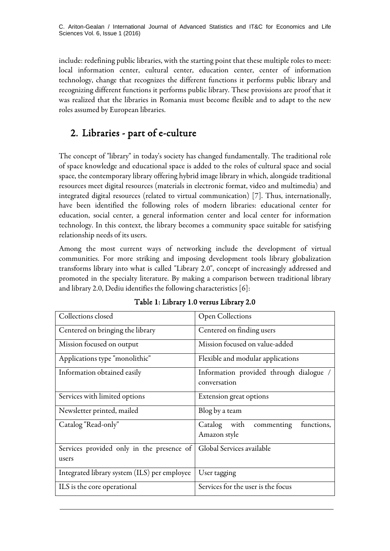C. Ariton-Gealan / International Journal of Advanced Statistics and IT&C for Economics and Life Sciences Vol. 6, Issue 1 (2016)

include: redefining public libraries, with the starting point that these multiple roles to meet: local information center, cultural center, education center, center of information technology, change that recognizes the different functions it performs public library and recognizing different functions it performs public library. These provisions are proof that it was realized that the libraries in Romania must become flexible and to adapt to the new roles assumed by European libraries.

### 2. Libraries - part of e-culture

The concept of "library" in today's society has changed fundamentally. The traditional role of space knowledge and educational space is added to the roles of cultural space and social space, the contemporary library offering hybrid image library in which, alongside traditional resources meet digital resources (materials in electronic format, video and multimedia) and integrated digital resources (related to virtual communication) [7]. Thus, internationally, have been identified the following roles of modern libraries: educational center for education, social center, a general information center and local center for information technology. In this context, the library becomes a community space suitable for satisfying relationship needs of its users.

Among the most current ways of networking include the development of virtual communities. For more striking and imposing development tools library globalization transforms library into what is called "Library 2.0", concept of increasingly addressed and promoted in the specialty literature. By making a comparison between traditional library and library 2.0, Dediu identifies the following characteristics [6]:

| Collections closed                                 | Open Collections                                      |  |  |  |
|----------------------------------------------------|-------------------------------------------------------|--|--|--|
| Centered on bringing the library                   | Centered on finding users                             |  |  |  |
| Mission focused on output                          | Mission focused on value-added                        |  |  |  |
| Applications type "monolithic"                     | Flexible and modular applications                     |  |  |  |
| Information obtained easily                        | Information provided through dialogue<br>conversation |  |  |  |
| Services with limited options                      | Extension great options                               |  |  |  |
| Newsletter printed, mailed                         | Blog by a team                                        |  |  |  |
| Catalog "Read-only"                                | Catalog with commenting<br>functions,<br>Amazon style |  |  |  |
| Services provided only in the presence of<br>users | Global Services available                             |  |  |  |
| Integrated library system (ILS) per employee       | User tagging                                          |  |  |  |
| ILS is the core operational                        | Services for the user is the focus                    |  |  |  |

| Table 1: Library 1.0 versus Library 2.0 |  |  |  |  |
|-----------------------------------------|--|--|--|--|
|-----------------------------------------|--|--|--|--|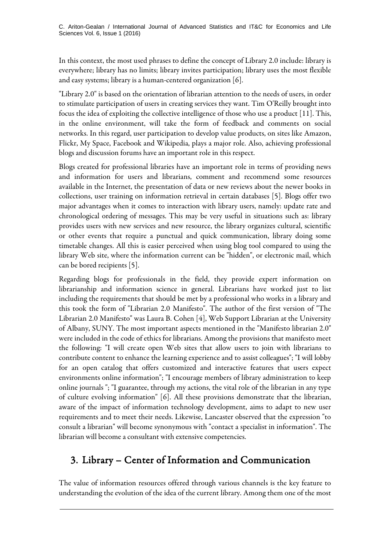In this context, the most used phrases to define the concept of Library 2.0 include: library is everywhere; library has no limits; library invites participation; library uses the most flexible and easy systems; library is a human-centered organization [6].

"Library 2.0" is based on the orientation of librarian attention to the needs of users, in order to stimulate participation of users in creating services they want. Tim O'Reilly brought into focus the idea of exploiting the collective intelligence of those who use a product [11]. This, in the online environment, will take the form of feedback and comments on social networks. In this regard, user participation to develop value products, on sites like Amazon, Flickr, My Space, Facebook and Wikipedia, plays a major role. Also, achieving professional blogs and discussion forums have an important role in this respect.

Blogs created for professional libraries have an important role in terms of providing news and information for users and librarians, comment and recommend some resources available in the Internet, the presentation of data or new reviews about the newer books in collections, user training on information retrieval in certain databases [5]. Blogs offer two major advantages when it comes to interaction with library users, namely: update rate and chronological ordering of messages. This may be very useful in situations such as: library provides users with new services and new resource, the library organizes cultural, scientific or other events that require a punctual and quick communication, library doing some timetable changes. All this is easier perceived when using blog tool compared to using the library Web site, where the information current can be "hidden", or electronic mail, which can be bored recipients [5].

Regarding blogs for professionals in the field, they provide expert information on librarianship and information science in general. Librarians have worked just to list including the requirements that should be met by a professional who works in a library and this took the form of "Librarian 2.0 Manifesto". The author of the first version of "The Librarian 2.0 Manifesto" was Laura B. Cohen [4], Web Support Librarian at the University of Albany, SUNY. The most important aspects mentioned in the "Manifesto librarian 2.0" were included in the code of ethics for librarians. Among the provisions that manifesto meet the following: "I will create open Web sites that allow users to join with librarians to contribute content to enhance the learning experience and to assist colleagues"; "I will lobby for an open catalog that offers customized and interactive features that users expect environments online information"; "I encourage members of library administration to keep online journals "; "I guarantee, through my actions, the vital role of the librarian in any type of culture evolving information" [6]. All these provisions demonstrate that the librarian, aware of the impact of information technology development, aims to adapt to new user requirements and to meet their needs. Likewise, Lancaster observed that the expression "to consult a librarian" will become synonymous with "contact a specialist in information". The librarian will become a consultant with extensive competencies.

## 3. Library – Center of Information and Communication

The value of information resources offered through various channels is the key feature to understanding the evolution of the idea of the current library. Among them one of the most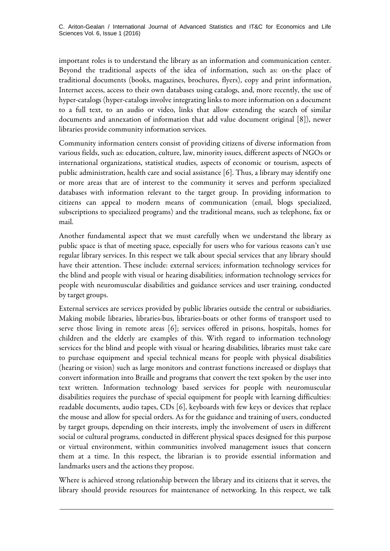important roles is to understand the library as an information and communication center. Beyond the traditional aspects of the idea of information, such as: on-the place of traditional documents (books, magazines, brochures, flyers), copy and print information, Internet access, access to their own databases using catalogs, and, more recently, the use of hyper-catalogs (hyper-catalogs involve integrating links to more information on a document to a full text, to an audio or video, links that allow extending the search of similar documents and annexation of information that add value document original [8]), newer libraries provide community information services.

Community information centers consist of providing citizens of diverse information from various fields, such as: education, culture, law, minority issues, different aspects of NGOs or international organizations, statistical studies, aspects of economic or tourism, aspects of public administration, health care and social assistance [6]. Thus, a library may identify one or more areas that are of interest to the community it serves and perform specialized databases with information relevant to the target group. In providing information to citizens can appeal to modern means of communication (email, blogs specialized, subscriptions to specialized programs) and the traditional means, such as telephone, fax or mail.

Another fundamental aspect that we must carefully when we understand the library as public space is that of meeting space, especially for users who for various reasons can't use regular library services. In this respect we talk about special services that any library should have their attention. These include: external services; information technology services for the blind and people with visual or hearing disabilities; information technology services for people with neuromuscular disabilities and guidance services and user training, conducted by target groups.

External services are services provided by public libraries outside the central or subsidiaries. Making mobile libraries, libraries-bus, libraries-boats or other forms of transport used to serve those living in remote areas [6]; services offered in prisons, hospitals, homes for children and the elderly are examples of this. With regard to information technology services for the blind and people with visual or hearing disabilities, libraries must take care to purchase equipment and special technical means for people with physical disabilities (hearing or vision) such as large monitors and contrast functions increased or displays that convert information into Braille and programs that convert the text spoken by the user into text written. Information technology based services for people with neuromuscular disabilities requires the purchase of special equipment for people with learning difficulties: readable documents, audio tapes, CDs [6], keyboards with few keys or devices that replace the mouse and allow for special orders. As for the guidance and training of users, conducted by target groups, depending on their interests, imply the involvement of users in different social or cultural programs, conducted in different physical spaces designed for this purpose or virtual environment, within communities involved management issues that concern them at a time. In this respect, the librarian is to provide essential information and landmarks users and the actions they propose.

Where is achieved strong relationship between the library and its citizens that it serves, the library should provide resources for maintenance of networking. In this respect, we talk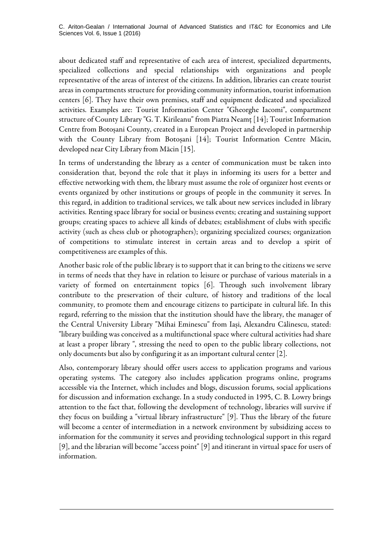C. Ariton-Gealan / International Journal of Advanced Statistics and IT&C for Economics and Life Sciences Vol. 6, Issue 1 (2016)

about dedicated staff and representative of each area of interest, specialized departments, specialized collections and special relationships with organizations and people representative of the areas of interest of the citizens. In addition, libraries can create tourist areas in compartments structure for providing community information, tourist information centers [6]. They have their own premises, staff and equipment dedicated and specialized activities. Examples are: Tourist Information Center "Gheorghe Iacomi", compartment structure of County Library "G. T. Kirileanu" from Piatra Neamț [14]; Tourist Information Centre from Botoșani County, created in a European Project and developed in partnership with the County Library from Botoșani [14]; Tourist Information Centre Măcin, developed near City Library from Măcin [15].

In terms of understanding the library as a center of communication must be taken into consideration that, beyond the role that it plays in informing its users for a better and effective networking with them, the library must assume the role of organizer host events or events organized by other institutions or groups of people in the community it serves. In this regard, in addition to traditional services, we talk about new services included in library activities. Renting space library for social or business events; creating and sustaining support groups; creating spaces to achieve all kinds of debates; establishment of clubs with specific activity (such as chess club or photographers); organizing specialized courses; organization of competitions to stimulate interest in certain areas and to develop a spirit of competitiveness are examples of this.

Another basic role of the public library is to support that it can bring to the citizens we serve in terms of needs that they have in relation to leisure or purchase of various materials in a variety of formed on entertainment topics [6]. Through such involvement library contribute to the preservation of their culture, of history and traditions of the local community, to promote them and encourage citizens to participate in cultural life. In this regard, referring to the mission that the institution should have the library, the manager of the Central University Library "Mihai Eminescu" from Iași, Alexandru Călinescu, stated: "library building was conceived as a multifunctional space where cultural activities had share at least a proper library ", stressing the need to open to the public library collections, not only documents but also by configuring it as an important cultural center [2].

Also, contemporary library should offer users access to application programs and various operating systems. The category also includes application programs online, programs accessible via the Internet, which includes and blogs, discussion forums, social applications for discussion and information exchange. In a study conducted in 1995, C. B. Lowry brings attention to the fact that, following the development of technology, libraries will survive if they focus on building a "virtual library infrastructure" [9]. Thus the library of the future will become a center of intermediation in a network environment by subsidizing access to information for the community it serves and providing technological support in this regard [9], and the librarian will become "access point" [9] and itinerant in virtual space for users of information.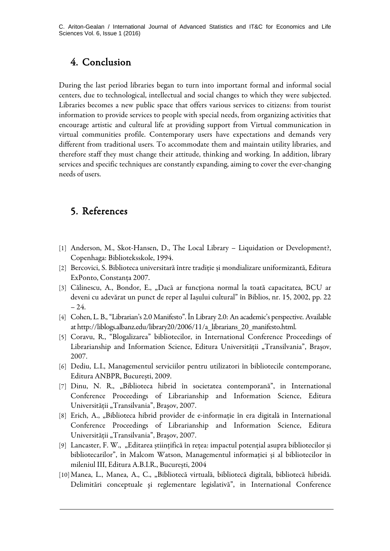C. Ariton-Gealan / International Journal of Advanced Statistics and IT&C for Economics and Life Sciences Vol. 6, Issue 1 (2016)

#### 4. Conclusion

During the last period libraries began to turn into important formal and informal social centers, due to technological, intellectual and social changes to which they were subjected. Libraries becomes a new public space that offers various services to citizens: from tourist information to provide services to people with special needs, from organizing activities that encourage artistic and cultural life at providing support from Virtual communication in virtual communities profile. Contemporary users have expectations and demands very different from traditional users. To accommodate them and maintain utility libraries, and therefore staff they must change their attitude, thinking and working. In addition, library services and specific techniques are constantly expanding, aiming to cover the ever-changing needs of users.

#### 5. References

- [1] Anderson, M., Skot-Hansen, D., The Local Library Liquidation or Development?, Copenhaga: Biblioteksskole, 1994.
- [2] Bercovici, S. Biblioteca universitară între tradiție și mondializare uniformizantă, Editura ExPonto, Constanța 2007.
- [3] Călinescu, A., Bondor, E., "Dacă ar funcționa normal la toată capacitatea, BCU ar deveni cu adevărat un punct de reper al Iașului cultural" în Biblios, nr. 15, 2002, pp. 22  $-24.$
- [4] Cohen, L. B., "Librarian's 2.0 Manifesto". În Library 2.0: An academic's perspective. Available at http://liblogs.albanz.edu/library20/2006/11/a\_librarians\_20\_manifesto.html.
- [5] Coravu, R., "Blogalizarea" bibliotecilor, in International Conference Proceedings of Librarianship and Information Science, Editura Universității "Transilvania", Brașov, 2007.
- [6] Dediu, L.I., Managementul serviciilor pentru utilizatori în bibliotecile contemporane, Editura ANBPR, București, 2009.
- [7] Dinu, N. R., "Biblioteca hibrid în societatea contemporană", in International Conference Proceedings of Librarianship and Information Science, Editura Universității "Transilvania", Brașov, 2007.
- [8] Erich, A., "Biblioteca hibrid provider de e-informație în era digitală in International Conference Proceedings of Librarianship and Information Science, Editura Universității "Transilvania", Brașov, 2007.
- [9] Lancaster, F. W., "Editarea științifică în rețea: impactul potențial asupra bibliotecilor și bibliotecarilor", în Malcom Watson, Managementul informației și al bibliotecilor în mileniul III, Editura A.B.I.R., București, 2004
- [10]Manea, L., Manea, A., C., "Bibliotecă virtuală, bibliotecă digitală, bibliotecă hibridă. Delimitări conceptuale şi reglementare legislativă", in International Conference